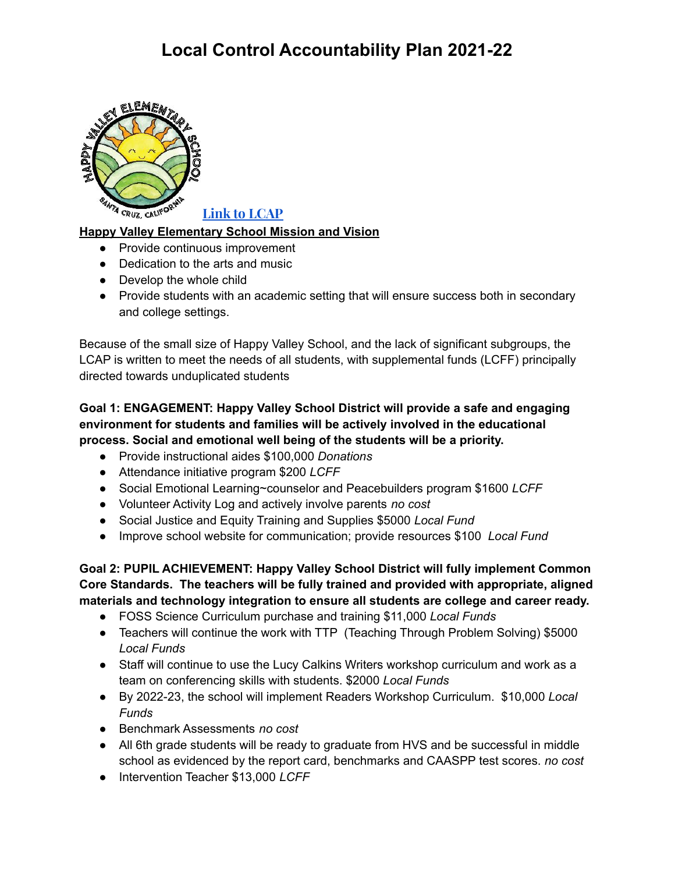

**Link to [LCAP](https://www.hvesd.com/uploads/5/7/8/1/57815731/2021_local_control_and_accountability_plan_happy_valley_elementary_school_20210901__1_.pdf)**

## **Happy Valley Elementary School Mission and Vision**

- Provide continuous improvement
- Dedication to the arts and music
- Develop the whole child
- Provide students with an academic setting that will ensure success both in secondary and college settings.

Because of the small size of Happy Valley School, and the lack of significant subgroups, the LCAP is written to meet the needs of all students, with supplemental funds (LCFF) principally directed towards unduplicated students

## **Goal 1: ENGAGEMENT: Happy Valley School District will provide a safe and engaging environment for students and families will be actively involved in the educational process. Social and emotional well being of the students will be a priority.**

- Provide instructional aides \$100,000 *Donations*
- Attendance initiative program \$200 *LCFF*
- Social Emotional Learning~counselor and Peacebuilders program \$1600 *LCFF*
- Volunteer Activity Log and actively involve parents *no cost*
- Social Justice and Equity Training and Supplies \$5000 *Local Fund*
- Improve school website for communication; provide resources \$100 *Local Fund*

**Goal 2: PUPIL ACHIEVEMENT: Happy Valley School District will fully implement Common Core Standards. The teachers will be fully trained and provided with appropriate, aligned materials and technology integration to ensure all students are college and career ready.**

- FOSS Science Curriculum purchase and training \$11,000 *Local Funds*
- Teachers will continue the work with TTP (Teaching Through Problem Solving) \$5000 *Local Funds*
- Staff will continue to use the Lucy Calkins Writers workshop curriculum and work as a team on conferencing skills with students. \$2000 *Local Funds*
- *●* By 2022-23, the school will implement Readers Workshop Curriculum. \$10,000 *Local Funds*
- Benchmark Assessments *no cost*
- All 6th grade students will be ready to graduate from HVS and be successful in middle school as evidenced by the report card, benchmarks and CAASPP test scores. *no cost*
- Intervention Teacher \$13,000 *LCFF*